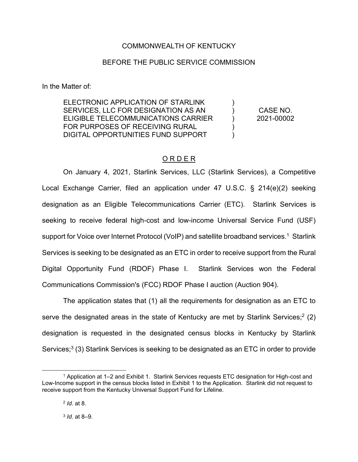### COMMONWEALTH OF KENTUCKY

### BEFORE THE PUBLIC SERVICE COMMISSION

In the Matter of:

ELECTRONIC APPLICATION OF STARLINK SERVICES, LLC FOR DESIGNATION AS AN ELIGIBLE TELECOMMUNICATIONS CARRIER FOR PURPOSES OF RECEIVING RURAL DIGITAL OPPORTUNITIES FUND SUPPORT )  $\lambda$ ) ) ) CASE NO. 2021-00002

## O R D E R

On January 4, 2021, Starlink Services, LLC (Starlink Services), a Competitive Local Exchange Carrier, filed an application under 47 U.S.C. § 214(e)(2) seeking designation as an Eligible Telecommunications Carrier (ETC). Starlink Services is seeking to receive federal high-cost and low-income Universal Service Fund (USF) support for Voice over Internet Protocol (VoIP) and satellite broadband services.<sup>1</sup> Starlink Services is seeking to be designated as an ETC in order to receive support from the Rural Digital Opportunity Fund (RDOF) Phase I. Starlink Services won the Federal Communications Commission's (FCC) RDOF Phase I auction (Auction 904).

The application states that (1) all the requirements for designation as an ETC to serve the designated areas in the state of Kentucky are met by Starlink Services;<sup>2</sup> (2) designation is requested in the designated census blocks in Kentucky by Starlink Services;<sup>3</sup> (3) Starlink Services is seeking to be designated as an ETC in order to provide

<sup>1</sup> Application at 1–2 and Exhibit 1. Starlink Services requests ETC designation for High-cost and Low-Income support in the census blocks listed in Exhibit 1 to the Application. Starlink did not request to receive support from the Kentucky Universal Support Fund for Lifeline.

<sup>2</sup> *Id.* at 8.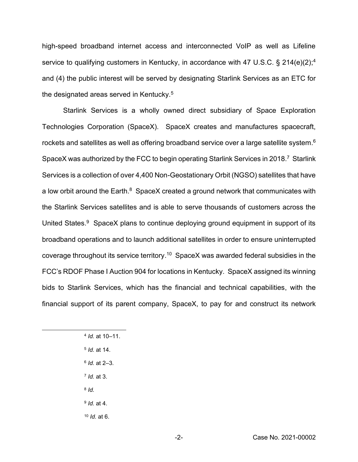high-speed broadband internet access and interconnected VoIP as well as Lifeline service to qualifying customers in Kentucky, in accordance with 47 U.S.C. § 214(e)(2);<sup>4</sup> and (4) the public interest will be served by designating Starlink Services as an ETC for the designated areas served in Kentucky.<sup>5</sup>

Starlink Services is a wholly owned direct subsidiary of Space Exploration Technologies Corporation (SpaceX). SpaceX creates and manufactures spacecraft, rockets and satellites as well as offering broadband service over a large satellite system.<sup>6</sup> SpaceX was authorized by the FCC to begin operating Starlink Services in 2018.<sup>7</sup> Starlink Services is a collection of over 4,400 Non-Geostationary Orbit (NGSO) satellites that have a low orbit around the Earth.<sup>8</sup> SpaceX created a ground network that communicates with the Starlink Services satellites and is able to serve thousands of customers across the United States.<sup>9</sup> SpaceX plans to continue deploying ground equipment in support of its broadband operations and to launch additional satellites in order to ensure uninterrupted coverage throughout its service territory. <sup>10</sup> SpaceX was awarded federal subsidies in the FCC's RDOF Phase I Auction 904 for locations in Kentucky. SpaceX assigned its winning bids to Starlink Services, which has the financial and technical capabilities, with the financial support of its parent company, SpaceX, to pay for and construct its network

- <sup>5</sup> *Id.* at 14.
- <sup>6</sup> *Id.* at 2–3.
- <sup>7</sup> *Id.* at 3.
- <sup>8</sup> *Id.*

<sup>9</sup> *Id.* at 4.

<sup>10</sup> *Id.* at 6.

<sup>4</sup> *Id.* at 10–11.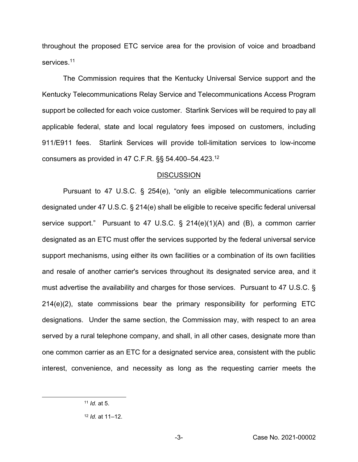throughout the proposed ETC service area for the provision of voice and broadband services.<sup>11</sup>

The Commission requires that the Kentucky Universal Service support and the Kentucky Telecommunications Relay Service and Telecommunications Access Program support be collected for each voice customer. Starlink Services will be required to pay all applicable federal, state and local regulatory fees imposed on customers, including 911/E911 fees. Starlink Services will provide toll-limitation services to low-income consumers as provided in 47 C.F.R. §§ 54.400–54.423.12

#### **DISCUSSION**

Pursuant to 47 U.S.C. § 254(e), "only an eligible telecommunications carrier designated under 47 U.S.C. § 214(e) shall be eligible to receive specific federal universal service support." Pursuant to 47 U.S.C. § 214(e)(1)(A) and (B), a common carrier designated as an ETC must offer the services supported by the federal universal service support mechanisms, using either its own facilities or a combination of its own facilities and resale of another carrier's services throughout its designated service area, and it must advertise the availability and charges for those services. Pursuant to 47 U.S.C. § 214(e)(2), state commissions bear the primary responsibility for performing ETC designations. Under the same section, the Commission may, with respect to an area served by a rural telephone company, and shall, in all other cases, designate more than one common carrier as an ETC for a designated service area, consistent with the public interest, convenience, and necessity as long as the requesting carrier meets the

<sup>11</sup> *Id.* at 5.

<sup>12</sup> *Id.* at 11–12.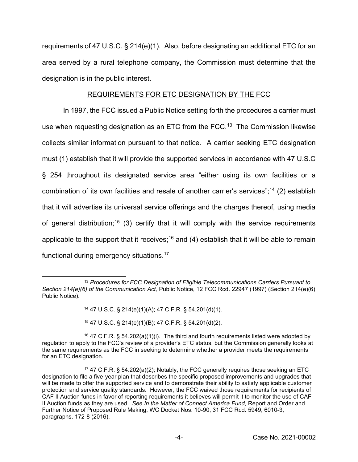requirements of 47 U.S.C. § 214(e)(1). Also, before designating an additional ETC for an area served by a rural telephone company, the Commission must determine that the designation is in the public interest.

## REQUIREMENTS FOR ETC DESIGNATION BY THE FCC

In 1997, the FCC issued a Public Notice setting forth the procedures a carrier must use when requesting designation as an ETC from the FCC.13 The Commission likewise collects similar information pursuant to that notice. A carrier seeking ETC designation must (1) establish that it will provide the supported services in accordance with 47 U.S.C § 254 throughout its designated service area "either using its own facilities or a combination of its own facilities and resale of another carrier's services";<sup>14</sup> (2) establish that it will advertise its universal service offerings and the charges thereof, using media of general distribution;<sup>15</sup> (3) certify that it will comply with the service requirements applicable to the support that it receives;<sup>16</sup> and (4) establish that it will be able to remain functional during emergency situations.17

<sup>14</sup> 47 U.S.C. § 214(e)(1)(A); 47 C.F.R. § 54.201(d)(1).

<sup>15</sup> 47 U.S.C. § 214(e)(1)(B); 47 C.F.R. § 54.201(d)(2).

<sup>16</sup> 47 C.F.R. § 54.202(a)(1)(i). The third and fourth requirements listed were adopted by regulation to apply to the FCC's review of a provider's ETC status, but the Commission generally looks at the same requirements as the FCC in seeking to determine whether a provider meets the requirements for an ETC designation.

<sup>13</sup> *Procedures for FCC Designation of Eligible Telecommunications Carriers Pursuant to Section 214(e)(6) of the Communication Act,* Public Notice, 12 FCC Rcd. 22947 (1997) (Section 214(e)(6) Public Notice).

<sup>17</sup> 47 C.F.R. § 54.202(a)(2); Notably, the FCC generally requires those seeking an ETC designation to file a five-year plan that describes the specific proposed improvements and upgrades that will be made to offer the supported service and to demonstrate their ability to satisfy applicable customer protection and service quality standards. However, the FCC waived those requirements for recipients of CAF II Auction funds in favor of reporting requirements it believes will permit it to monitor the use of CAF II Auction funds as they are used. *See In the Matter of Connect America Fund,* Report and Order and Further Notice of Proposed Rule Making, WC Docket Nos. 10-90, 31 FCC Rcd. 5949, 6010-3, paragraphs. 172-8 (2016).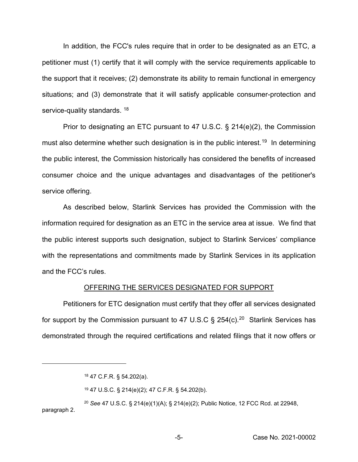In addition, the FCC's rules require that in order to be designated as an ETC, a petitioner must (1) certify that it will comply with the service requirements applicable to the support that it receives; (2) demonstrate its ability to remain functional in emergency situations; and (3) demonstrate that it will satisfy applicable consumer-protection and service-quality standards. <sup>18</sup>

Prior to designating an ETC pursuant to 47 U.S.C. § 214(e)(2), the Commission must also determine whether such designation is in the public interest.<sup>19</sup> In determining the public interest, the Commission historically has considered the benefits of increased consumer choice and the unique advantages and disadvantages of the petitioner's service offering.

As described below, Starlink Services has provided the Commission with the information required for designation as an ETC in the service area at issue. We find that the public interest supports such designation, subject to Starlink Services' compliance with the representations and commitments made by Starlink Services in its application and the FCC's rules.

#### OFFERING THE SERVICES DESIGNATED FOR SUPPORT

Petitioners for ETC designation must certify that they offer all services designated for support by the Commission pursuant to 47 U.S.C  $\S$  254(c).<sup>20</sup> Starlink Services has demonstrated through the required certifications and related filings that it now offers or

<sup>20</sup> *See* 47 U.S.C. § 214(e)(1)(A); § 214(e)(2); Public Notice, 12 FCC Rcd. at 22948, paragraph 2.

<sup>18</sup> 47 C.F.R. § 54.202(a).

<sup>19</sup> 47 U.S.C. § 214(e)(2); 47 C.F.R. § 54.202(b).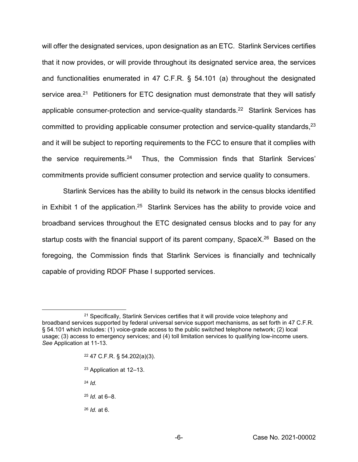will offer the designated services, upon designation as an ETC. Starlink Services certifies that it now provides, or will provide throughout its designated service area, the services and functionalities enumerated in 47 C.F.R. § 54.101 (a) throughout the designated service area.<sup>21</sup> Petitioners for ETC designation must demonstrate that they will satisfy applicable consumer-protection and service-quality standards.<sup>22</sup> Starlink Services has committed to providing applicable consumer protection and service-quality standards, <sup>23</sup> and it will be subject to reporting requirements to the FCC to ensure that it complies with the service requirements.<sup>24</sup> Thus, the Commission finds that Starlink Services' commitments provide sufficient consumer protection and service quality to consumers.

Starlink Services has the ability to build its network in the census blocks identified in Exhibit 1 of the application.<sup>25</sup> Starlink Services has the ability to provide voice and broadband services throughout the ETC designated census blocks and to pay for any startup costs with the financial support of its parent company, SpaceX.<sup>26</sup> Based on the foregoing, the Commission finds that Starlink Services is financially and technically capable of providing RDOF Phase I supported services.

- <sup>22</sup> 47 C.F.R. § 54.202(a)(3).
- <sup>23</sup> Application at 12–13.
- <sup>24</sup> *Id.*
- <sup>25</sup> *Id.* at 6–8.
- <sup>26</sup> *Id.* at 6.

<sup>&</sup>lt;sup>21</sup> Specifically, Starlink Services certifies that it will provide voice telephony and broadband services supported by federal universal service support mechanisms, as set forth in 47 C.F.R. § 54.101 which includes: (1) voice-grade access to the public switched telephone network; (2) local usage; (3) access to emergency services; and (4) toll limitation services to qualifying low-income users. *See* Application at 11-13.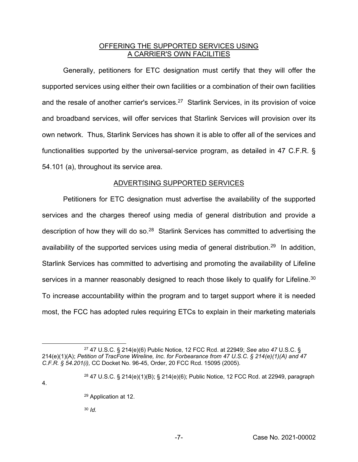## OFFERING THE SUPPORTED SERVICES USING A CARRIER'S OWN FACILITIES

Generally, petitioners for ETC designation must certify that they will offer the supported services using either their own facilities or a combination of their own facilities and the resale of another carrier's services.<sup>27</sup> Starlink Services, in its provision of voice and broadband services, will offer services that Starlink Services will provision over its own network. Thus, Starlink Services has shown it is able to offer all of the services and functionalities supported by the universal-service program, as detailed in 47 C.F.R. § 54.101 (a), throughout its service area.

## ADVERTISING SUPPORTED SERVICES

Petitioners for ETC designation must advertise the availability of the supported services and the charges thereof using media of general distribution and provide a description of how they will do so.<sup>28</sup> Starlink Services has committed to advertising the availability of the supported services using media of general distribution.29 In addition, Starlink Services has committed to advertising and promoting the availability of Lifeline services in a manner reasonably designed to reach those likely to qualify for Lifeline.<sup>30</sup> To increase accountability within the program and to target support where it is needed most, the FCC has adopted rules requiring ETCs to explain in their marketing materials

4.

<sup>30</sup> *Id.*

<sup>27</sup> 47 U.S.C. § 214(e)(6) Public Notice, 12 FCC Rcd. at 22949; *See also 47* U.S.C. § 214(e)(1)(A); *Petition of TracFone Wireline, Inc. for Forbearance from 47 U.S.C. § 214(e)(1)(A) and 47 C.F.R. § 54.201(i),* CC Docket No. 96-45, Order, 20 FCC Rcd. 15095 (2005)*.*

<sup>28</sup> 47 U.S.C. § 214(e)(1)(B); § 214(e)(6); Public Notice, 12 FCC Rcd. at 22949, paragraph

<sup>29</sup> Application at 12.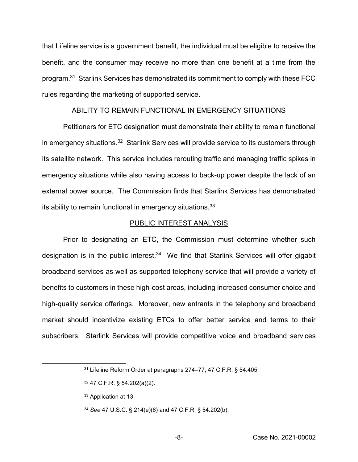that Lifeline service is a government benefit, the individual must be eligible to receive the benefit, and the consumer may receive no more than one benefit at a time from the program.31 Starlink Services has demonstrated its commitment to comply with these FCC rules regarding the marketing of supported service.

#### ABILITY TO REMAIN FUNCTIONAL IN EMERGENCY SITUATIONS

Petitioners for ETC designation must demonstrate their ability to remain functional in emergency situations.<sup>32</sup> Starlink Services will provide service to its customers through its satellite network. This service includes rerouting traffic and managing traffic spikes in emergency situations while also having access to back-up power despite the lack of an external power source. The Commission finds that Starlink Services has demonstrated its ability to remain functional in emergency situations.<sup>33</sup>

#### PUBLIC INTEREST ANALYSIS

Prior to designating an ETC, the Commission must determine whether such designation is in the public interest. $34$  We find that Starlink Services will offer gigabit broadband services as well as supported telephony service that will provide a variety of benefits to customers in these high-cost areas, including increased consumer choice and high-quality service offerings. Moreover, new entrants in the telephony and broadband market should incentivize existing ETCs to offer better service and terms to their subscribers. Starlink Services will provide competitive voice and broadband services

- <sup>33</sup> Application at 13.
- <sup>34</sup> *See* 47 U.S.C. § 214(e)(6) and 47 C.F.R. § 54.202(b).

<sup>31</sup> Lifeline Reform Order at paragraphs 274–77; 47 C.F.R. § 54.405.

<sup>32</sup> 47 C.F.R. § 54.202(a)(2).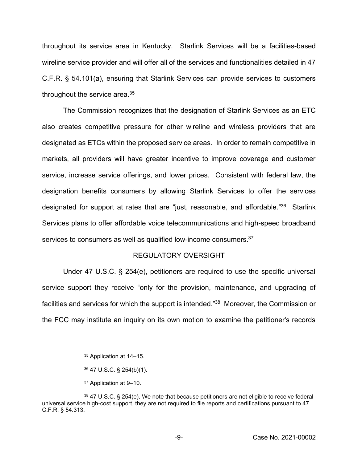throughout its service area in Kentucky. Starlink Services will be a facilities-based wireline service provider and will offer all of the services and functionalities detailed in 47 C.F.R. § 54.101(a), ensuring that Starlink Services can provide services to customers throughout the service area.35

The Commission recognizes that the designation of Starlink Services as an ETC also creates competitive pressure for other wireline and wireless providers that are designated as ETCs within the proposed service areas. In order to remain competitive in markets, all providers will have greater incentive to improve coverage and customer service, increase service offerings, and lower prices. Consistent with federal law, the designation benefits consumers by allowing Starlink Services to offer the services designated for support at rates that are "just, reasonable, and affordable."<sup>36</sup> Starlink Services plans to offer affordable voice telecommunications and high-speed broadband services to consumers as well as qualified low-income consumers.<sup>37</sup>

#### REGULATORY OVERSIGHT

Under 47 U.S.C. § 254(e), petitioners are required to use the specific universal service support they receive "only for the provision, maintenance, and upgrading of facilities and services for which the support is intended."<sup>38</sup> Moreover, the Commission or the FCC may institute an inquiry on its own motion to examine the petitioner's records

<sup>35</sup> Application at 14–15.

<sup>36</sup> 47 U.S.C. § 254(b)(1).

<sup>37</sup> Application at 9–10.

<sup>38</sup> 47 U.S.C. § 254(e). We note that because petitioners are not eligible to receive federal universal service high-cost support, they are not required to file reports and certifications pursuant to 47 C.F.R. § 54.313.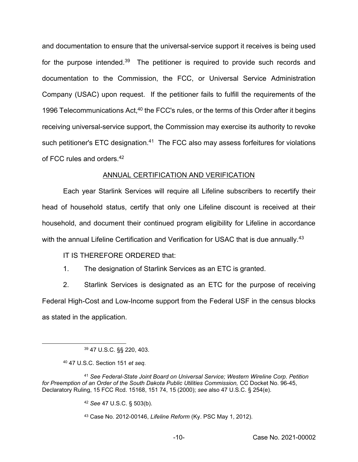and documentation to ensure that the universal-service support it receives is being used for the purpose intended.<sup>39</sup> The petitioner is required to provide such records and documentation to the Commission, the FCC, or Universal Service Administration Company (USAC) upon request. If the petitioner fails to fulfill the requirements of the 1996 Telecommunications Act,<sup>40</sup> the FCC's rules, or the terms of this Order after it begins receiving universal-service support, the Commission may exercise its authority to revoke such petitioner's ETC designation.<sup>41</sup> The FCC also may assess forfeitures for violations of FCC rules and orders.42

## ANNUAL CERTIFICATION AND VERIFICATION

Each year Starlink Services will require all Lifeline subscribers to recertify their head of household status, certify that only one Lifeline discount is received at their household, and document their continued program eligibility for Lifeline in accordance with the annual Lifeline Certification and Verification for USAC that is due annually.<sup>43</sup>

## IT IS THEREFORE ORDERED that:

1. The designation of Starlink Services as an ETC is granted.

2. Starlink Services is designated as an ETC for the purpose of receiving Federal High-Cost and Low-Income support from the Federal USF in the census blocks as stated in the application.

<sup>39</sup> 47 U.S.C. §§ 220, 403.

<sup>40</sup> 47 U.S.C. Section 151 *et seq.* 

<sup>41</sup> *See Federal-State Joint Board on Universal Service; Western Wireline Corp. Petition*  for Preemption of an Order of the South Dakota Public Utilities Commission, CC Docket No. 96-45, Declaratory Ruling, 15 FCC Rcd. 15168, 151 74, 15 (2000); *see* also 47 U.S.C. § 254(e).

<sup>42</sup> *See* 47 U.S.C. § 503(b).

<sup>43</sup> Case No. 2012-00146, *Lifeline Reform* (Ky. PSC May 1, 2012).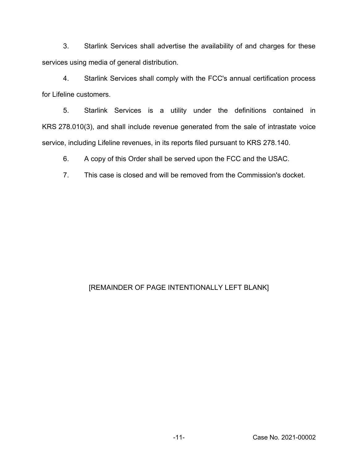3. Starlink Services shall advertise the availability of and charges for these services using media of general distribution.

4. Starlink Services shall comply with the FCC's annual certification process for Lifeline customers.

5. Starlink Services is a utility under the definitions contained in KRS 278.010(3), and shall include revenue generated from the sale of intrastate voice service, including Lifeline revenues, in its reports filed pursuant to KRS 278.140.

6. A copy of this Order shall be served upon the FCC and the USAC.

7. This case is closed and will be removed from the Commission's docket.

# [REMAINDER OF PAGE INTENTIONALLY LEFT BLANK]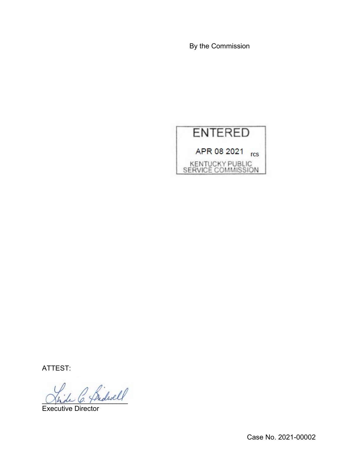By the Commission



ATTEST:

 $\frac{1}{\beta}$  Sidwell

Executive Director

Case No. 2021-00002